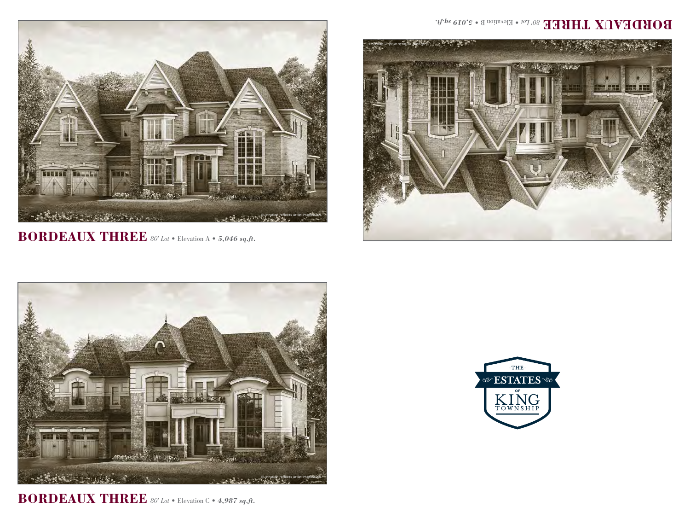

**BORDEAUX THREE** *80' Lot* • Elevation A • *5,046 sq.ft.*



**BORDEAUX THREE** *80' Lot* • Elevation C • *4,987 sq.ft.*

## BOBDEVNX JHBEE<sup>807</sup>.08 Elevation B • 5,019 sq.ft.